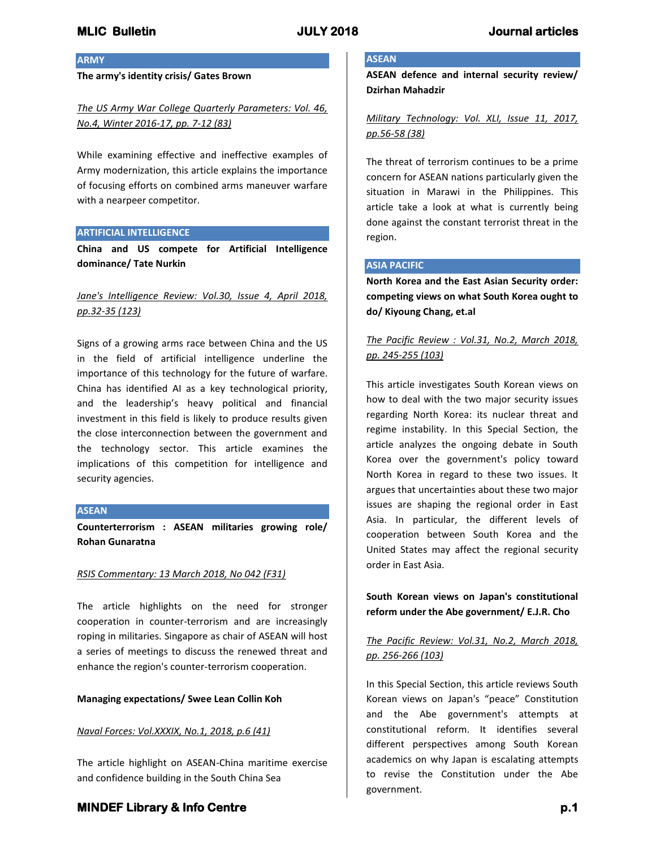### **ARMY**

**The army's identity crisis/ Gates Brown**

*The US Army War College Quarterly Parameters: Vol. 46, No.4, Winter 2016-17, pp. 7-12 (83)*

While examining effective and ineffective examples of Army modernization, this article explains the importance of focusing efforts on combined arms maneuver warfare with a nearpeer competitor.

### **ARTIFICIAL INTELLIGENCE**

**China and US compete for Artificial Intelligence dominance/ Tate Nurkin**

## *Jane's Intelligence Review: Vol.30, Issue 4, April 2018, pp.32-35 (123)*

Signs of a growing arms race between China and the US in the field of artificial intelligence underline the importance of this technology for the future of warfare. China has identified AI as a key technological priority, and the leadership's heavy political and financial investment in this field is likely to produce results given the close interconnection between the government and the technology sector. This article examines the implications of this competition for intelligence and security agencies.

### **ASEAN**

**Counterterrorism : ASEAN militaries growing role/ Rohan Gunaratna**

### *RSIS Commentary: 13 March 2018, No 042 (F31)*

The article highlights on the need for stronger cooperation in counter-terrorism and are increasingly roping in militaries. Singapore as chair of ASEAN will host a series of meetings to discuss the renewed threat and enhance the region's counter-terrorism cooperation.

### **Managing expectations/ Swee Lean Collin Koh**

## *Naval Forces: Vol.XXXIX, No.1, 2018, p.6 (41)*

The article highlight on ASEAN-China maritime exercise and confidence building in the South China Sea

# **ASEAN**

**ASEAN defence and internal security review/ Dzirhan Mahadzir**

*Military Technology: Vol. XLI, Issue 11, 2017, pp.56-58 (38)*

The threat of terrorism continues to be a prime concern for ASEAN nations particularly given the situation in Marawi in the Philippines. This article take a look at what is currently being done against the constant terrorist threat in the region.

### **ASIA PACIFIC**

**North Korea and the East Asian Security order: competing views on what South Korea ought to do/ Kiyoung Chang, et.al**

# *The Pacific Review : Vol.31, No.2, March 2018, pp. 245-255 (103)*

This article investigates South Korean views on how to deal with the two major security issues regarding North Korea: its nuclear threat and regime instability. In this Special Section, the article analyzes the ongoing debate in South Korea over the government's policy toward North Korea in regard to these two issues. It argues that uncertainties about these two major issues are shaping the regional order in East Asia. In particular, the different levels of cooperation between South Korea and the United States may affect the regional security order in East Asia.

**South Korean views on Japan's constitutional reform under the Abe government/ E.J.R. Cho**

# *The Pacific Review: Vol.31, No.2, March 2018, pp. 256-266 (103)*

In this Special Section, this article reviews South Korean views on Japan's "peace" Constitution and the Abe government's attempts at constitutional reform. It identifies several different perspectives among South Korean academics on why Japan is escalating attempts to revise the Constitution under the Abe government.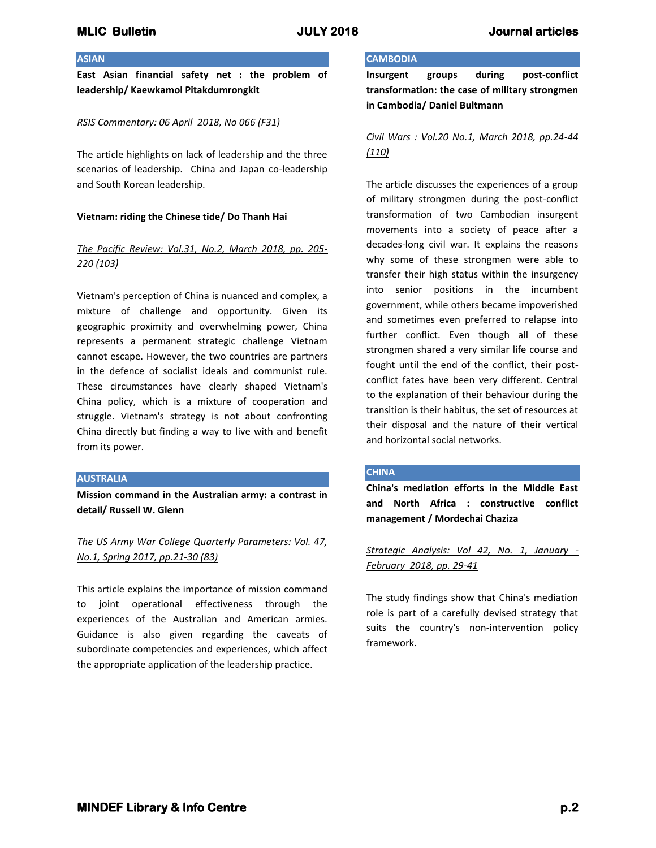## **ASIAN**

**East Asian financial safety net : the problem of leadership/ Kaewkamol Pitakdumrongkit**

### *RSIS Commentary: 06 April 2018, No 066 (F31)*

The article highlights on lack of leadership and the three scenarios of leadership. China and Japan co-leadership and South Korean leadership.

### **Vietnam: riding the Chinese tide/ Do Thanh Hai**

## *The Pacific Review: Vol.31, No.2, March 2018, pp. 205- 220 (103)*

Vietnam's perception of China is nuanced and complex, a mixture of challenge and opportunity. Given its geographic proximity and overwhelming power, China represents a permanent strategic challenge Vietnam cannot escape. However, the two countries are partners in the defence of socialist ideals and communist rule. These circumstances have clearly shaped Vietnam's China policy, which is a mixture of cooperation and struggle. Vietnam's strategy is not about confronting China directly but finding a way to live with and benefit from its power.

### **AUSTRALIA**

**Mission command in the Australian army: a contrast in detail/ Russell W. Glenn**

# *The US Army War College Quarterly Parameters: Vol. 47, No.1, Spring 2017, pp.21-30 (83)*

This article explains the importance of mission command to joint operational effectiveness through the experiences of the Australian and American armies. Guidance is also given regarding the caveats of subordinate competencies and experiences, which affect the appropriate application of the leadership practice.

## **CAMBODIA**

**Insurgent groups during post-conflict transformation: the case of military strongmen in Cambodia/ Daniel Bultmann**

## *Civil Wars : Vol.20 No.1, March 2018, pp.24-44 (110)*

The article discusses the experiences of a group of military strongmen during the post-conflict transformation of two Cambodian insurgent movements into a society of peace after a decades-long civil war. It explains the reasons why some of these strongmen were able to transfer their high status within the insurgency into senior positions in the incumbent government, while others became impoverished and sometimes even preferred to relapse into further conflict. Even though all of these strongmen shared a very similar life course and fought until the end of the conflict, their postconflict fates have been very different. Central to the explanation of their behaviour during the transition is their habitus, the set of resources at their disposal and the nature of their vertical and horizontal social networks.

## **CHINA**

**China's mediation efforts in the Middle East and North Africa : constructive conflict management / Mordechai Chaziza**

*Strategic Analysis: Vol 42, No. 1, January - February 2018, pp. 29-41*

The study findings show that China's mediation role is part of a carefully devised strategy that suits the country's non-intervention policy framework.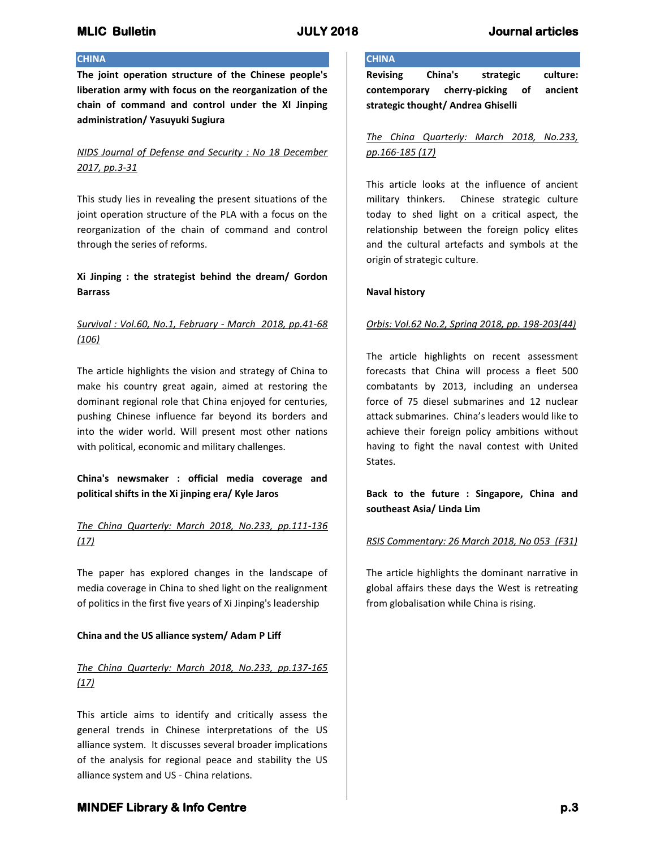## **CHINA**

**The joint operation structure of the Chinese people's liberation army with focus on the reorganization of the chain of command and control under the XI Jinping administration/ Yasuyuki Sugiura**

# *NIDS Journal of Defense and Security : No 18 December 2017, pp.3-31*

This study lies in revealing the present situations of the joint operation structure of the PLA with a focus on the reorganization of the chain of command and control through the series of reforms.

# **Xi Jinping : the strategist behind the dream/ Gordon Barrass**

# *Survival : Vol.60, No.1, February - March 2018, pp.41-68 (106)*

The article highlights the vision and strategy of China to make his country great again, aimed at restoring the dominant regional role that China enjoyed for centuries, pushing Chinese influence far beyond its borders and into the wider world. Will present most other nations with political, economic and military challenges.

# **China's newsmaker : official media coverage and political shifts in the Xi jinping era/ Kyle Jaros**

# *The China Quarterly: March 2018, No.233, pp.111-136 (17)*

The paper has explored changes in the landscape of media coverage in China to shed light on the realignment of politics in the first five years of Xi Jinping's leadership

## **China and the US alliance system/ Adam P Liff**

# *The China Quarterly: March 2018, No.233, pp.137-165 (17)*

This article aims to identify and critically assess the general trends in Chinese interpretations of the US alliance system. It discusses several broader implications of the analysis for regional peace and stability the US alliance system and US - China relations.

## **CHINA**

**Revising China's strategic culture: contemporary cherry-picking of ancient strategic thought/ Andrea Ghiselli**

# *The China Quarterly: March 2018, No.233, pp.166-185 (17)*

This article looks at the influence of ancient military thinkers. Chinese strategic culture today to shed light on a critical aspect, the relationship between the foreign policy elites and the cultural artefacts and symbols at the origin of strategic culture.

## **Naval history**

## *Orbis: Vol.62 No.2, Spring 2018, pp. 198-203(44)*

The article highlights on recent assessment forecasts that China will process a fleet 500 combatants by 2013, including an undersea force of 75 diesel submarines and 12 nuclear attack submarines. China's leaders would like to achieve their foreign policy ambitions without having to fight the naval contest with United States.

**Back to the future : Singapore, China and southeast Asia/ Linda Lim**

## *RSIS Commentary: 26 March 2018, No 053 (F31)*

The article highlights the dominant narrative in global affairs these days the West is retreating from globalisation while China is rising.

# **MINDEF Library & Info Centre** *p.3* **p.3**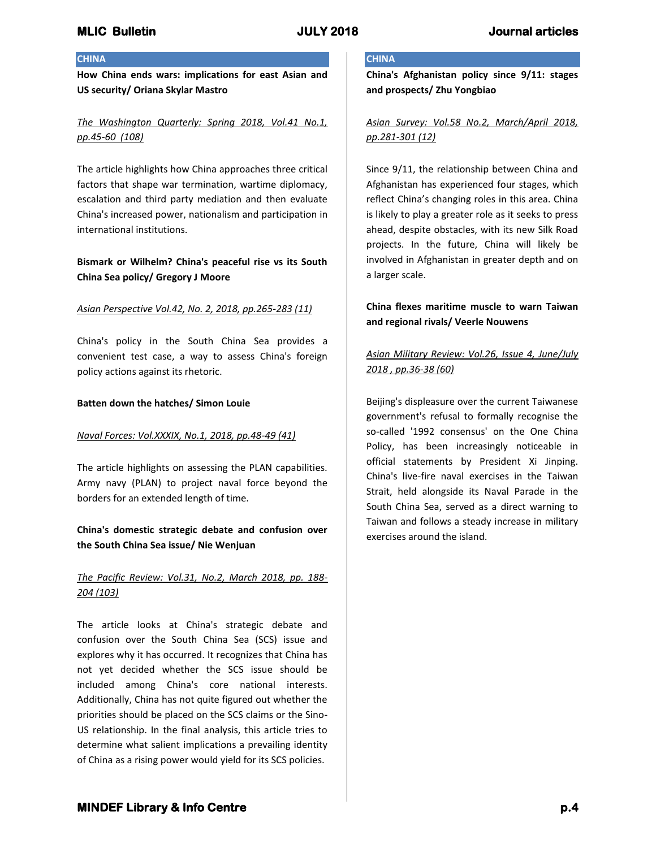## **CHINA**

**How China ends wars: implications for east Asian and US security/ Oriana Skylar Mastro**

## *The Washington Quarterly: Spring 2018, Vol.41 No.1, pp.45-60 (108)*

The article highlights how China approaches three critical factors that shape war termination, wartime diplomacy, escalation and third party mediation and then evaluate China's increased power, nationalism and participation in international institutions.

## **Bismark or Wilhelm? China's peaceful rise vs its South China Sea policy/ Gregory J Moore**

### *Asian Perspective Vol.42, No. 2, 2018, pp.265-283 (11)*

China's policy in the South China Sea provides a convenient test case, a way to assess China's foreign policy actions against its rhetoric.

### **Batten down the hatches/ Simon Louie**

### *Naval Forces: Vol.XXXIX, No.1, 2018, pp.48-49 (41)*

The article highlights on assessing the PLAN capabilities. Army navy (PLAN) to project naval force beyond the borders for an extended length of time.

## **China's domestic strategic debate and confusion over the South China Sea issue/ Nie Wenjuan**

## *The Pacific Review: Vol.31, No.2, March 2018, pp. 188- 204 (103)*

The article looks at China's strategic debate and confusion over the South China Sea (SCS) issue and explores why it has occurred. It recognizes that China has not yet decided whether the SCS issue should be included among China's core national interests. Additionally, China has not quite figured out whether the priorities should be placed on the SCS claims or the Sino-US relationship. In the final analysis, this article tries to determine what salient implications a prevailing identity of China as a rising power would yield for its SCS policies.

## **CHINA**

**China's Afghanistan policy since 9/11: stages and prospects/ Zhu Yongbiao**

*Asian Survey: Vol.58 No.2, March/April 2018, pp.281-301 (12)*

Since 9/11, the relationship between China and Afghanistan has experienced four stages, which reflect China's changing roles in this area. China is likely to play a greater role as it seeks to press ahead, despite obstacles, with its new Silk Road projects. In the future, China will likely be involved in Afghanistan in greater depth and on a larger scale.

# **China flexes maritime muscle to warn Taiwan and regional rivals/ Veerle Nouwens**

# *Asian Military Review: Vol.26, Issue 4, June/July 2018 , pp.36-38 (60)*

Beijing's displeasure over the current Taiwanese government's refusal to formally recognise the so-called '1992 consensus' on the One China Policy, has been increasingly noticeable in official statements by President Xi Jinping. China's live-fire naval exercises in the Taiwan Strait, held alongside its Naval Parade in the South China Sea, served as a direct warning to Taiwan and follows a steady increase in military exercises around the island.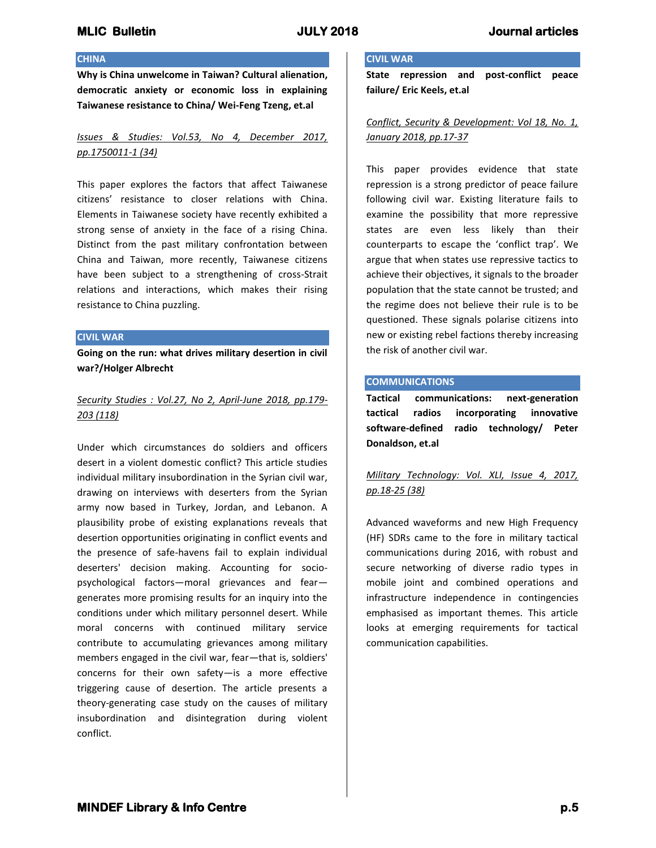## **CHINA**

**Why is China unwelcome in Taiwan? Cultural alienation, democratic anxiety or economic loss in explaining Taiwanese resistance to China/ Wei-Feng Tzeng, et.al**

*Issues & Studies: Vol.53, No 4, December 2017, pp.1750011-1 (34)*

This paper explores the factors that affect Taiwanese citizens' resistance to closer relations with China. Elements in Taiwanese society have recently exhibited a strong sense of anxiety in the face of a rising China. Distinct from the past military confrontation between China and Taiwan, more recently, Taiwanese citizens have been subject to a strengthening of cross-Strait relations and interactions, which makes their rising resistance to China puzzling.

#### **CIVIL WAR**

**Going on the run: what drives military desertion in civil war?/Holger Albrecht**

## *Security Studies : Vol.27, No 2, April-June 2018, pp.179- 203 (118)*

Under which circumstances do soldiers and officers desert in a violent domestic conflict? This article studies individual military insubordination in the Syrian civil war, drawing on interviews with deserters from the Syrian army now based in Turkey, Jordan, and Lebanon. A plausibility probe of existing explanations reveals that desertion opportunities originating in conflict events and the presence of safe-havens fail to explain individual deserters' decision making. Accounting for sociopsychological factors—moral grievances and fear generates more promising results for an inquiry into the conditions under which military personnel desert. While moral concerns with continued military service contribute to accumulating grievances among military members engaged in the civil war, fear—that is, soldiers' concerns for their own safety—is a more effective triggering cause of desertion. The article presents a theory-generating case study on the causes of military insubordination and disintegration during violent conflict.

### **CIVIL WAR**

**State repression and post-conflict peace failure/ Eric Keels, et.al**

*Conflict, Security & Development: Vol 18, No. 1, January 2018, pp.17-37*

This paper provides evidence that state repression is a strong predictor of peace failure following civil war. Existing literature fails to examine the possibility that more repressive states are even less likely than their counterparts to escape the 'conflict trap'. We argue that when states use repressive tactics to achieve their objectives, it signals to the broader population that the state cannot be trusted; and the regime does not believe their rule is to be questioned. These signals polarise citizens into new or existing rebel factions thereby increasing the risk of another civil war.

### **COMMUNICATIONS**

**Tactical communications: next-generation tactical radios incorporating innovative software-defined radio technology/ Peter Donaldson, et.al**

# *Military Technology: Vol. XLI, Issue 4, 2017, pp.18-25 (38)*

Advanced waveforms and new High Frequency (HF) SDRs came to the fore in military tactical communications during 2016, with robust and secure networking of diverse radio types in mobile joint and combined operations and infrastructure independence in contingencies emphasised as important themes. This article looks at emerging requirements for tactical communication capabilities.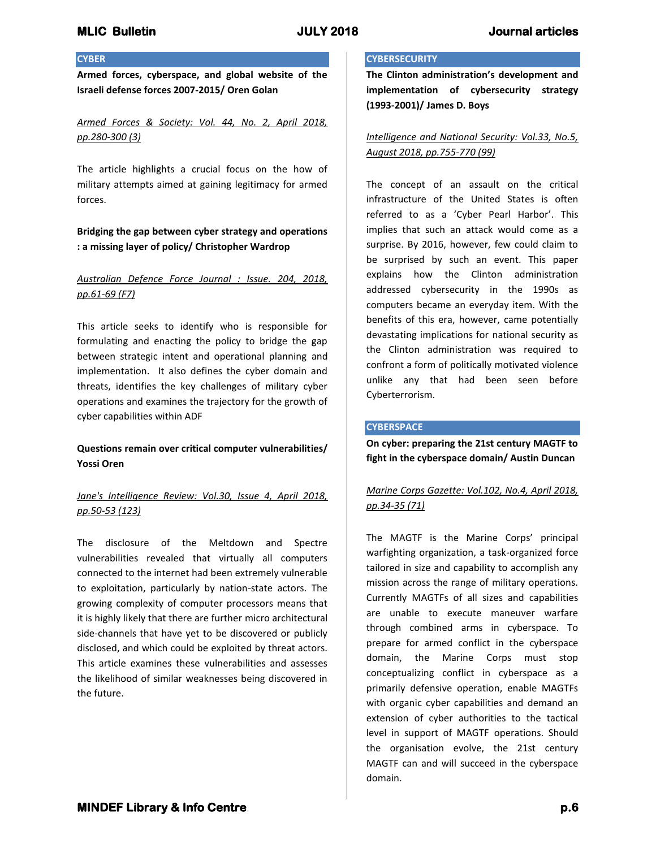### **CYBER**

**Armed forces, cyberspace, and global website of the Israeli defense forces 2007-2015/ Oren Golan**

*Armed Forces & Society: Vol. 44, No. 2, April 2018, pp.280-300 (3)*

The article highlights a crucial focus on the how of military attempts aimed at gaining legitimacy for armed forces.

## **Bridging the gap between cyber strategy and operations : a missing layer of policy/ Christopher Wardrop**

## *Australian Defence Force Journal : Issue. 204, 2018, pp.61-69 (F7)*

This article seeks to identify who is responsible for formulating and enacting the policy to bridge the gap between strategic intent and operational planning and implementation. It also defines the cyber domain and threats, identifies the key challenges of military cyber operations and examines the trajectory for the growth of cyber capabilities within ADF

## **Questions remain over critical computer vulnerabilities/ Yossi Oren**

# *Jane's Intelligence Review: Vol.30, Issue 4, April 2018, pp.50-53 (123)*

The disclosure of the Meltdown and Spectre vulnerabilities revealed that virtually all computers connected to the internet had been extremely vulnerable to exploitation, particularly by nation-state actors. The growing complexity of computer processors means that it is highly likely that there are further micro architectural side-channels that have yet to be discovered or publicly disclosed, and which could be exploited by threat actors. This article examines these vulnerabilities and assesses the likelihood of similar weaknesses being discovered in the future.

## **CYBERSECURITY**

**The Clinton administration's development and implementation of cybersecurity strategy (1993-2001)/ James D. Boys**

*Intelligence and National Security: Vol.33, No.5, August 2018, pp.755-770 (99)*

The concept of an assault on the critical infrastructure of the United States is often referred to as a 'Cyber Pearl Harbor'. This implies that such an attack would come as a surprise. By 2016, however, few could claim to be surprised by such an event. This paper explains how the Clinton administration addressed cybersecurity in the 1990s as computers became an everyday item. With the benefits of this era, however, came potentially devastating implications for national security as the Clinton administration was required to confront a form of politically motivated violence unlike any that had been seen before Cyberterrorism.

### **CYBERSPACE**

**On cyber: preparing the 21st century MAGTF to fight in the cyberspace domain/ Austin Duncan**

# *Marine Corps Gazette: Vol.102, No.4, April 2018, pp.34-35 (71)*

The MAGTF is the Marine Corps' principal warfighting organization, a task-organized force tailored in size and capability to accomplish any mission across the range of military operations. Currently MAGTFs of all sizes and capabilities are unable to execute maneuver warfare through combined arms in cyberspace. To prepare for armed conflict in the cyberspace domain, the Marine Corps must stop conceptualizing conflict in cyberspace as a primarily defensive operation, enable MAGTFs with organic cyber capabilities and demand an extension of cyber authorities to the tactical level in support of MAGTF operations. Should the organisation evolve, the 21st century MAGTF can and will succeed in the cyberspace domain.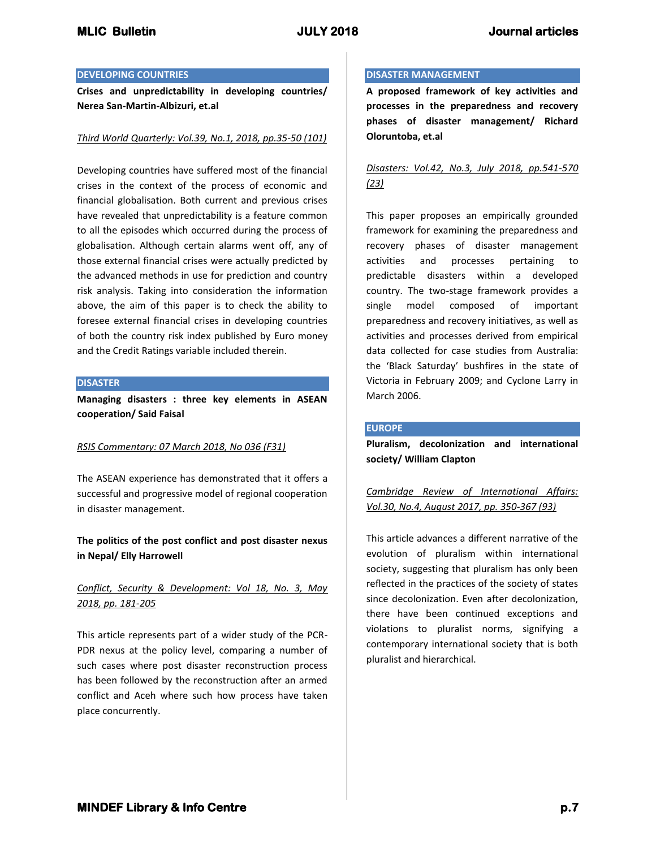### **DEVELOPING COUNTRIES**

**Crises and unpredictability in developing countries/ Nerea San-Martin-Albizuri, et.al**

### *Third World Quarterly: Vol.39, No.1, 2018, pp.35-50 (101)*

Developing countries have suffered most of the financial crises in the context of the process of economic and financial globalisation. Both current and previous crises have revealed that unpredictability is a feature common to all the episodes which occurred during the process of globalisation. Although certain alarms went off, any of those external financial crises were actually predicted by the advanced methods in use for prediction and country risk analysis. Taking into consideration the information above, the aim of this paper is to check the ability to foresee external financial crises in developing countries of both the country risk index published by Euro money and the Credit Ratings variable included therein.

#### **DISASTER**

**Managing disasters : three key elements in ASEAN cooperation/ Said Faisal**

## *RSIS Commentary: 07 March 2018, No 036 (F31)*

The ASEAN experience has demonstrated that it offers a successful and progressive model of regional cooperation in disaster management.

## **The politics of the post conflict and post disaster nexus in Nepal/ Elly Harrowell**

# *Conflict, Security & Development: Vol 18, No. 3, May 2018, pp. 181-205*

This article represents part of a wider study of the PCR-PDR nexus at the policy level, comparing a number of such cases where post disaster reconstruction process has been followed by the reconstruction after an armed conflict and Aceh where such how process have taken place concurrently.

### **DISASTER MANAGEMENT**

**A proposed framework of key activities and processes in the preparedness and recovery phases of disaster management/ Richard Oloruntoba, et.al**

## *Disasters: Vol.42, No.3, July 2018, pp.541-570 (23)*

This paper proposes an empirically grounded framework for examining the preparedness and recovery phases of disaster management activities and processes pertaining to predictable disasters within a developed country. The two-stage framework provides a single model composed of important preparedness and recovery initiatives, as well as activities and processes derived from empirical data collected for case studies from Australia: the 'Black Saturday' bushfires in the state of Victoria in February 2009; and Cyclone Larry in March 2006.

### **EUROPE**

**Pluralism, decolonization and international society/ William Clapton**

*Cambridge Review of International Affairs: Vol.30, No.4, August 2017, pp. 350-367 (93)*

This article advances a different narrative of the evolution of pluralism within international society, suggesting that pluralism has only been reflected in the practices of the society of states since decolonization. Even after decolonization, there have been continued exceptions and violations to pluralist norms, signifying a contemporary international society that is both pluralist and hierarchical.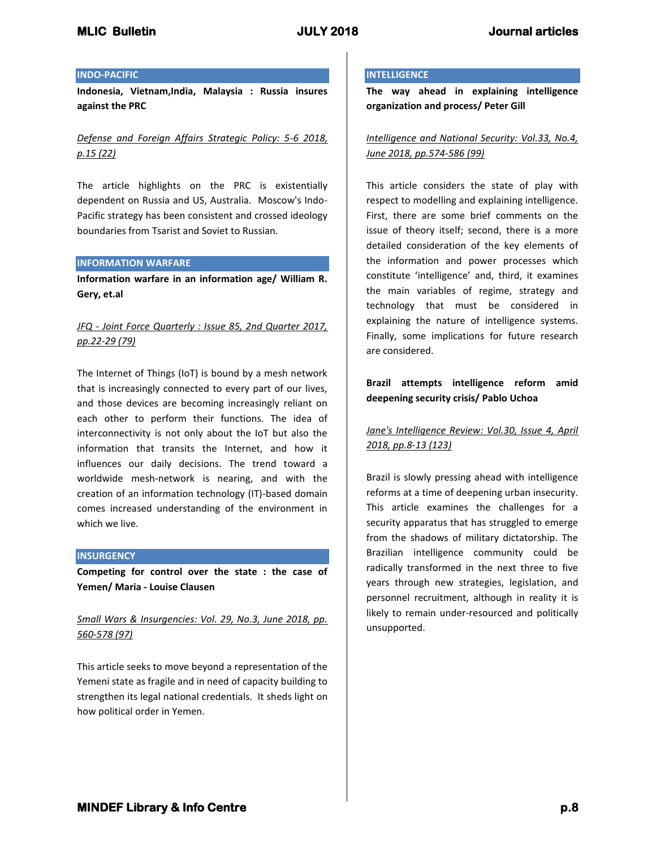### **INDO-PACIFIC**

**Indonesia, Vietnam,India, Malaysia : Russia insures against the PRC**

*Defense and Foreign Affairs Strategic Policy: 5-6 2018, p.15 (22)*

The article highlights on the PRC is existentially dependent on Russia and US, Australia. Moscow's Indo-Pacific strategy has been consistent and crossed ideology boundaries from Tsarist and Soviet to Russian.

### **INFORMATION WARFARE**

**Information warfare in an information age/ William R. Gery, et.al**

# *JFQ - Joint Force Quarterly : Issue 85, 2nd Quarter 2017, pp.22-29 (79)*

The Internet of Things (IoT) is bound by a mesh network that is increasingly connected to every part of our lives, and those devices are becoming increasingly reliant on each other to perform their functions. The idea of interconnectivity is not only about the IoT but also the information that transits the Internet, and how it influences our daily decisions. The trend toward a worldwide mesh-network is nearing, and with the creation of an information technology (IT)-based domain comes increased understanding of the environment in which we live.

### **INSURGENCY**

**Competing for control over the state : the case of Yemen/ Maria - Louise Clausen**

# *Small Wars & Insurgencies: Vol. 29, No.3, June 2018, pp. 560-578 (97)*

This article seeks to move beyond a representation of the Yemeni state as fragile and in need of capacity building to strengthen its legal national credentials. It sheds light on how political order in Yemen.

#### **INTELLIGENCE**

**The way ahead in explaining intelligence organization and process/ Peter Gill**

*Intelligence and National Security: Vol.33, No.4, June 2018, pp.574-586 (99)*

This article considers the state of play with respect to modelling and explaining intelligence. First, there are some brief comments on the issue of theory itself; second, there is a more detailed consideration of the key elements of the information and power processes which constitute 'intelligence' and, third, it examines the main variables of regime, strategy and technology that must be considered in explaining the nature of intelligence systems. Finally, some implications for future research are considered.

## **Brazil attempts intelligence reform amid deepening security crisis/ Pablo Uchoa**

*Jane's Intelligence Review: Vol.30, Issue 4, April 2018, pp.8-13 (123)*

Brazil is slowly pressing ahead with intelligence reforms at a time of deepening urban insecurity. This article examines the challenges for a security apparatus that has struggled to emerge from the shadows of military dictatorship. The Brazilian intelligence community could be radically transformed in the next three to five years through new strategies, legislation, and personnel recruitment, although in reality it is likely to remain under-resourced and politically unsupported.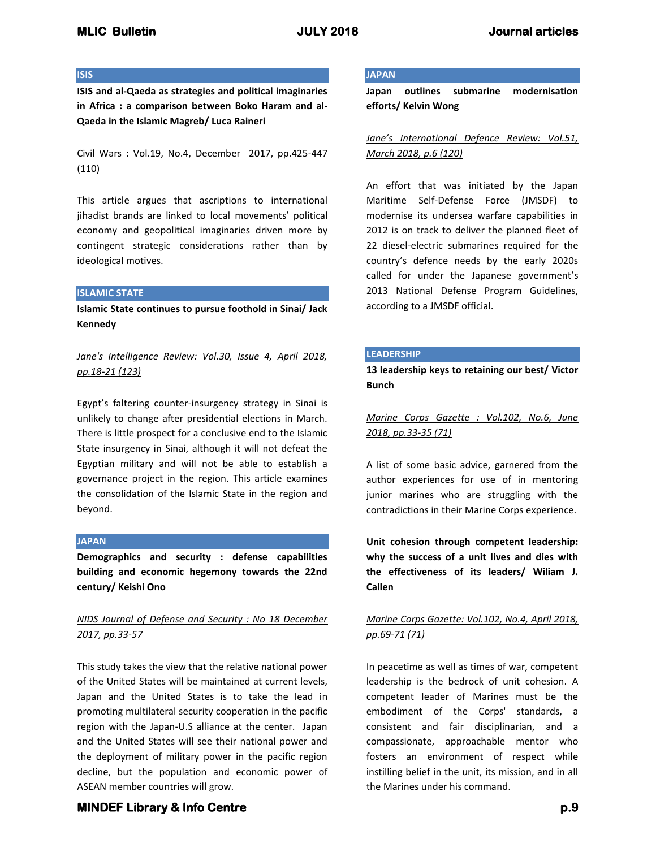### **ISIS**

**ISIS and al-Qaeda as strategies and political imaginaries in Africa : a comparison between Boko Haram and al-Qaeda in the Islamic Magreb/ Luca Raineri**

Civil Wars : Vol.19, No.4, December 2017, pp.425-447 (110)

This article argues that ascriptions to international jihadist brands are linked to local movements' political economy and geopolitical imaginaries driven more by contingent strategic considerations rather than by ideological motives.

### **ISLAMIC STATE**

**Islamic State continues to pursue foothold in Sinai/ Jack Kennedy**

*Jane's Intelligence Review: Vol.30, Issue 4, April 2018, pp.18-21 (123)*

Egypt's faltering counter-insurgency strategy in Sinai is unlikely to change after presidential elections in March. There is little prospect for a conclusive end to the Islamic State insurgency in Sinai, although it will not defeat the Egyptian military and will not be able to establish a governance project in the region. This article examines the consolidation of the Islamic State in the region and beyond.

### **JAPAN**

**Demographics and security : defense capabilities building and economic hegemony towards the 22nd century/ Keishi Ono**

# *NIDS Journal of Defense and Security : No 18 December 2017, pp.33-57*

This study takes the view that the relative national power of the United States will be maintained at current levels, Japan and the United States is to take the lead in promoting multilateral security cooperation in the pacific region with the Japan-U.S alliance at the center. Japan and the United States will see their national power and the deployment of military power in the pacific region decline, but the population and economic power of ASEAN member countries will grow.

#### **JAPAN**

**Japan outlines submarine modernisation efforts/ Kelvin Wong**

*Jane's International Defence Review: Vol.51, March 2018, p.6 (120)*

An effort that was initiated by the Japan Maritime Self-Defense Force (JMSDF) to modernise its undersea warfare capabilities in 2012 is on track to deliver the planned fleet of 22 diesel-electric submarines required for the country's defence needs by the early 2020s called for under the Japanese government's 2013 National Defense Program Guidelines, according to a JMSDF official.

### **LEADERSHIP**

**13 leadership keys to retaining our best/ Victor Bunch**

*Marine Corps Gazette : Vol.102, No.6, June 2018, pp.33-35 (71)*

A list of some basic advice, garnered from the author experiences for use of in mentoring junior marines who are struggling with the contradictions in their Marine Corps experience.

**Unit cohesion through competent leadership: why the success of a unit lives and dies with the effectiveness of its leaders/ Wiliam J. Callen**

# *Marine Corps Gazette: Vol.102, No.4, April 2018, pp.69-71 (71)*

In peacetime as well as times of war, competent leadership is the bedrock of unit cohesion. A competent leader of Marines must be the embodiment of the Corps' standards, a consistent and fair disciplinarian, and a compassionate, approachable mentor who fosters an environment of respect while instilling belief in the unit, its mission, and in all the Marines under his command.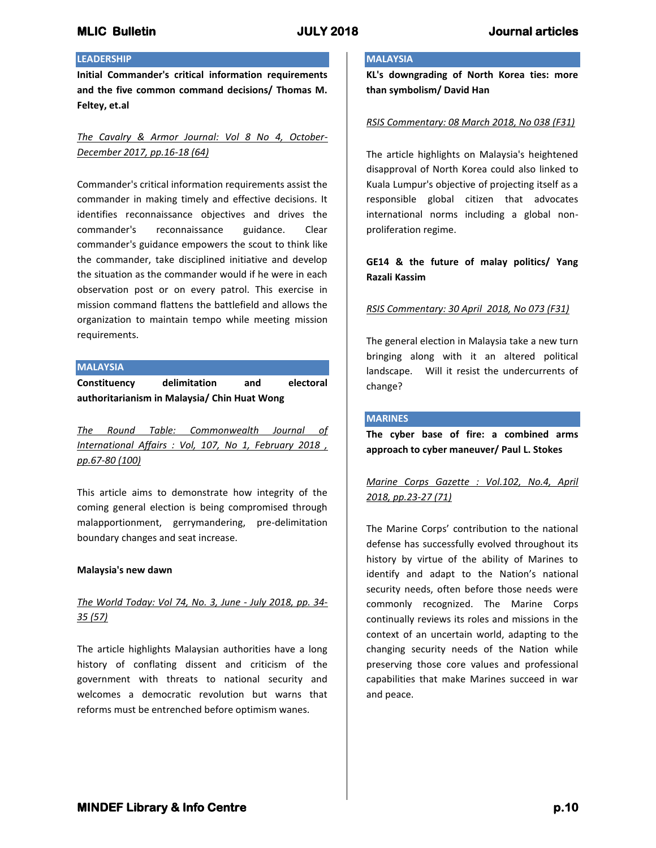## **LEADERSHIP**

**Initial Commander's critical information requirements and the five common command decisions/ Thomas M. Feltey, et.al**

*The Cavalry & Armor Journal: Vol 8 No 4, October-December 2017, pp.16-18 (64)*

Commander's critical information requirements assist the commander in making timely and effective decisions. It identifies reconnaissance objectives and drives the commander's reconnaissance guidance. Clear commander's guidance empowers the scout to think like the commander, take disciplined initiative and develop the situation as the commander would if he were in each observation post or on every patrol. This exercise in mission command flattens the battlefield and allows the organization to maintain tempo while meeting mission requirements.

### **MALAYSIA**

**Constituency delimitation and electoral authoritarianism in Malaysia/ Chin Huat Wong**

*The Round Table: Commonwealth Journal of International Affairs : Vol, 107, No 1, February 2018 , pp.67-80 (100)*

This article aims to demonstrate how integrity of the coming general election is being compromised through malapportionment, gerrymandering, pre-delimitation boundary changes and seat increase.

### **Malaysia's new dawn**

## *The World Today: Vol 74, No. 3, June - July 2018, pp. 34- 35 (57)*

The article highlights Malaysian authorities have a long history of conflating dissent and criticism of the government with threats to national security and welcomes a democratic revolution but warns that reforms must be entrenched before optimism wanes.

## **MALAYSIA**

**KL's downgrading of North Korea ties: more than symbolism/ David Han**

#### *RSIS Commentary: 08 March 2018, No 038 (F31)*

The article highlights on Malaysia's heightened disapproval of North Korea could also linked to Kuala Lumpur's objective of projecting itself as a responsible global citizen that advocates international norms including a global nonproliferation regime.

## **GE14 & the future of malay politics/ Yang Razali Kassim**

### *RSIS Commentary: 30 April 2018, No 073 (F31)*

The general election in Malaysia take a new turn bringing along with it an altered political landscape. Will it resist the undercurrents of change?

#### **MARINES**

**The cyber base of fire: a combined arms approach to cyber maneuver/ Paul L. Stokes**

*Marine Corps Gazette : Vol.102, No.4, April 2018, pp.23-27 (71)*

The Marine Corps' contribution to the national defense has successfully evolved throughout its history by virtue of the ability of Marines to identify and adapt to the Nation's national security needs, often before those needs were commonly recognized. The Marine Corps continually reviews its roles and missions in the context of an uncertain world, adapting to the changing security needs of the Nation while preserving those core values and professional capabilities that make Marines succeed in war and peace.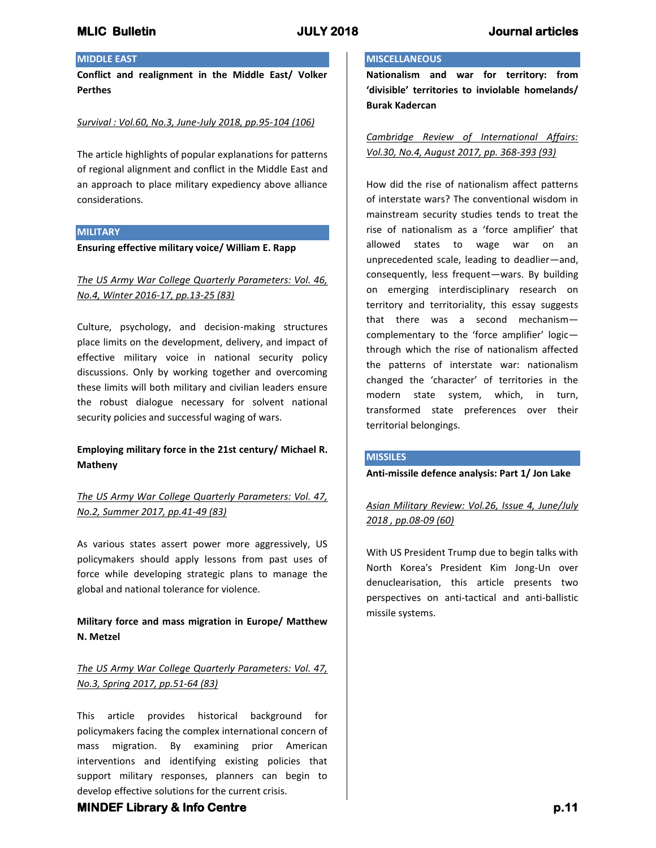## **MIDDLE EAST**

**Conflict and realignment in the Middle East/ Volker Perthes**

## *Survival : Vol.60, No.3, June-July 2018, pp.95-104 (106)*

The article highlights of popular explanations for patterns of regional alignment and conflict in the Middle East and an approach to place military expediency above alliance considerations.

#### **MILITARY**

**Ensuring effective military voice/ William E. Rapp**

*The US Army War College Quarterly Parameters: Vol. 46, No.4, Winter 2016-17, pp.13-25 (83)*

Culture, psychology, and decision-making structures place limits on the development, delivery, and impact of effective military voice in national security policy discussions. Only by working together and overcoming these limits will both military and civilian leaders ensure the robust dialogue necessary for solvent national security policies and successful waging of wars.

## **Employing military force in the 21st century/ Michael R. Matheny**

*The US Army War College Quarterly Parameters: Vol. 47, No.2, Summer 2017, pp.41-49 (83)*

As various states assert power more aggressively, US policymakers should apply lessons from past uses of force while developing strategic plans to manage the global and national tolerance for violence.

# **Military force and mass migration in Europe/ Matthew N. Metzel**

# *The US Army War College Quarterly Parameters: Vol. 47, No.3, Spring 2017, pp.51-64 (83)*

This article provides historical background for policymakers facing the complex international concern of mass migration. By examining prior American interventions and identifying existing policies that support military responses, planners can begin to develop effective solutions for the current crisis.

## **MISCELLANEOUS**

**Nationalism and war for territory: from 'divisible' territories to inviolable homelands/ Burak Kadercan**

*Cambridge Review of International Affairs: Vol.30, No.4, August 2017, pp. 368-393 (93)*

How did the rise of nationalism affect patterns of interstate wars? The conventional wisdom in mainstream security studies tends to treat the rise of nationalism as a 'force amplifier' that allowed states to wage war on an unprecedented scale, leading to deadlier—and, consequently, less frequent—wars. By building on emerging interdisciplinary research on territory and territoriality, this essay suggests that there was a second mechanism complementary to the 'force amplifier' logic through which the rise of nationalism affected the patterns of interstate war: nationalism changed the 'character' of territories in the modern state system, which, in turn, transformed state preferences over their territorial belongings.

### **MISSILES**

**Anti-missile defence analysis: Part 1/ Jon Lake**

*Asian Military Review: Vol.26, Issue 4, June/July 2018 , pp.08-09 (60)*

With US President Trump due to begin talks with North Korea's President Kim Jong-Un over denuclearisation, this article presents two perspectives on anti-tactical and anti-ballistic missile systems.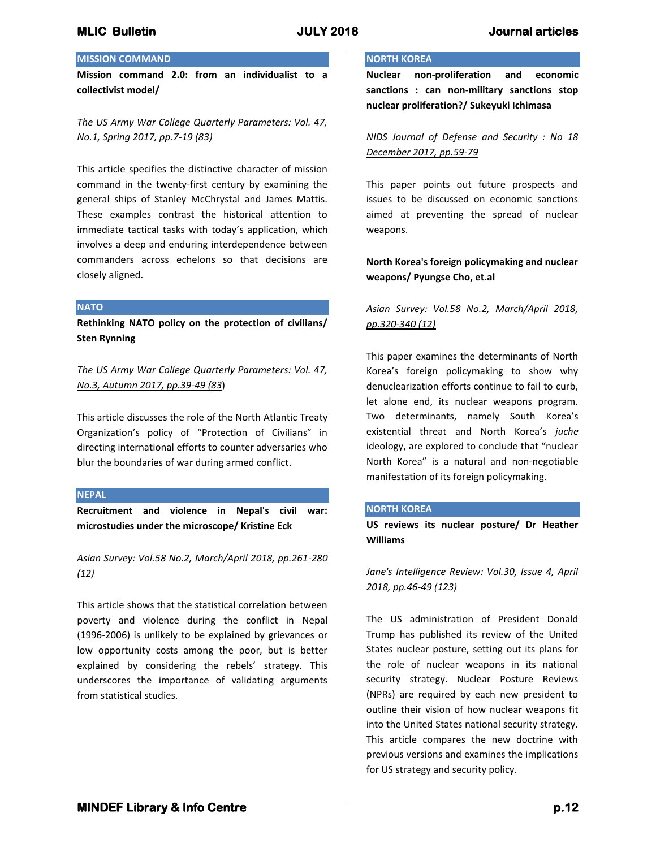## **MISSION COMMAND**

**Mission command 2.0: from an individualist to a collectivist model/** 

## *The US Army War College Quarterly Parameters: Vol. 47, No.1, Spring 2017, pp.7-19 (83)*

This article specifies the distinctive character of mission command in the twenty-first century by examining the general ships of Stanley McChrystal and James Mattis. These examples contrast the historical attention to immediate tactical tasks with today's application, which involves a deep and enduring interdependence between commanders across echelons so that decisions are closely aligned.

### **NATO**

**Rethinking NATO policy on the protection of civilians/ Sten Rynning**

*The US Army War College Quarterly Parameters: Vol. 47, No.3, Autumn 2017, pp.39-49 (83*)

This article discusses the role of the North Atlantic Treaty Organization's policy of "Protection of Civilians" in directing international efforts to counter adversaries who blur the boundaries of war during armed conflict.

### **NEPAL**

**Recruitment and violence in Nepal's civil war: microstudies under the microscope/ Kristine Eck**

## *Asian Survey: Vol.58 No.2, March/April 2018, pp.261-280 (12)*

This article shows that the statistical correlation between poverty and violence during the conflict in Nepal (1996-2006) is unlikely to be explained by grievances or low opportunity costs among the poor, but is better explained by considering the rebels' strategy. This underscores the importance of validating arguments from statistical studies.

## **NORTH KOREA**

**Nuclear non-proliferation and economic sanctions : can non-military sanctions stop nuclear proliferation?/ Sukeyuki Ichimasa**

*NIDS Journal of Defense and Security : No 18 December 2017, pp.59-79*

This paper points out future prospects and issues to be discussed on economic sanctions aimed at preventing the spread of nuclear weapons.

## **North Korea's foreign policymaking and nuclear weapons/ Pyungse Cho, et.al**

# *Asian Survey: Vol.58 No.2, March/April 2018, pp.320-340 (12)*

This paper examines the determinants of North Korea's foreign policymaking to show why denuclearization efforts continue to fail to curb, let alone end, its nuclear weapons program. Two determinants, namely South Korea's existential threat and North Korea's *juche* ideology, are explored to conclude that "nuclear North Korea" is a natural and non-negotiable manifestation of its foreign policymaking.

### **NORTH KOREA**

**US reviews its nuclear posture/ Dr Heather Williams**

*Jane's Intelligence Review: Vol.30, Issue 4, April 2018, pp.46-49 (123)*

The US administration of President Donald Trump has published its review of the United States nuclear posture, setting out its plans for the role of nuclear weapons in its national security strategy. Nuclear Posture Reviews (NPRs) are required by each new president to outline their vision of how nuclear weapons fit into the United States national security strategy. This article compares the new doctrine with previous versions and examines the implications for US strategy and security policy.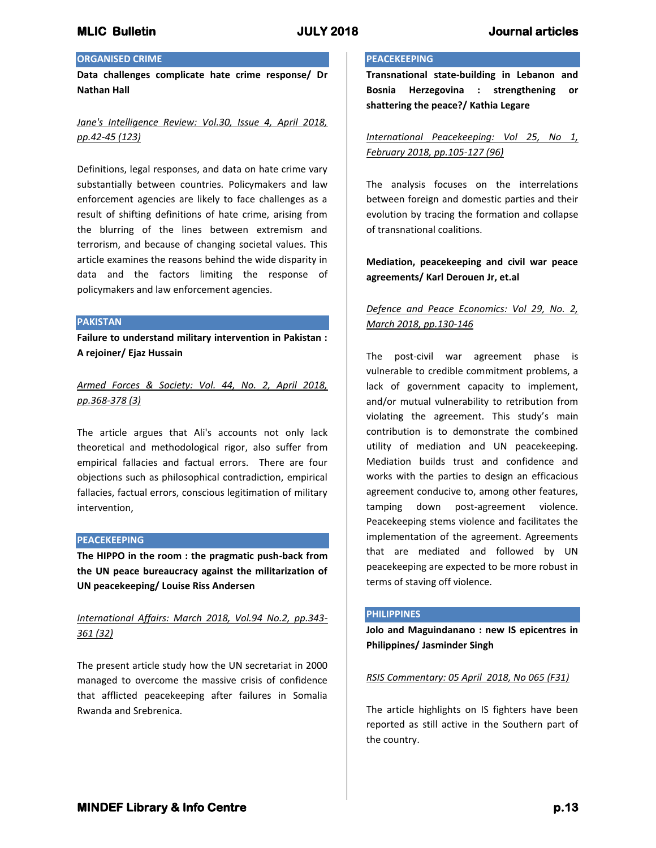## **ORGANISED CRIME**

**Data challenges complicate hate crime response/ Dr Nathan Hall**

## *Jane's Intelligence Review: Vol.30, Issue 4, April 2018, pp.42-45 (123)*

Definitions, legal responses, and data on hate crime vary substantially between countries. Policymakers and law enforcement agencies are likely to face challenges as a result of shifting definitions of hate crime, arising from the blurring of the lines between extremism and terrorism, and because of changing societal values. This article examines the reasons behind the wide disparity in data and the factors limiting the response of policymakers and law enforcement agencies.

#### **PAKISTAN**

**Failure to understand military intervention in Pakistan : A rejoiner/ Ejaz Hussain**

*Armed Forces & Society: Vol. 44, No. 2, April 2018, pp.368-378 (3)*

The article argues that Ali's accounts not only lack theoretical and methodological rigor, also suffer from empirical fallacies and factual errors. There are four objections such as philosophical contradiction, empirical fallacies, factual errors, conscious legitimation of military intervention,

### **PEACEKEEPING**

**The HIPPO in the room : the pragmatic push-back from the UN peace bureaucracy against the militarization of UN peacekeeping/ Louise Riss Andersen**

# *International Affairs: March 2018, Vol.94 No.2, pp.343- 361 (32)*

The present article study how the UN secretariat in 2000 managed to overcome the massive crisis of confidence that afflicted peacekeeping after failures in Somalia Rwanda and Srebrenica.

### **PEACEKEEPING**

**Transnational state-building in Lebanon and Bosnia Herzegovina : strengthening or shattering the peace?/ Kathia Legare**

*International Peacekeeping: Vol 25, No 1, February 2018, pp.105-127 (96)*

The analysis focuses on the interrelations between foreign and domestic parties and their evolution by tracing the formation and collapse of transnational coalitions.

## **Mediation, peacekeeping and civil war peace agreements/ Karl Derouen Jr, et.al**

# *Defence and Peace Economics: Vol 29, No. 2, March 2018, pp.130-146*

The post-civil war agreement phase is vulnerable to credible commitment problems, a lack of government capacity to implement, and/or mutual vulnerability to retribution from violating the agreement. This study's main contribution is to demonstrate the combined utility of mediation and UN peacekeeping. Mediation builds trust and confidence and works with the parties to design an efficacious agreement conducive to, among other features, tamping down post-agreement violence. Peacekeeping stems violence and facilitates the implementation of the agreement. Agreements that are mediated and followed by UN peacekeeping are expected to be more robust in terms of staving off violence.

### **PHILIPPINES**

**Jolo and Maguindanano : new IS epicentres in Philippines/ Jasminder Singh**

### *RSIS Commentary: 05 April 2018, No 065 (F31)*

The article highlights on IS fighters have been reported as still active in the Southern part of the country.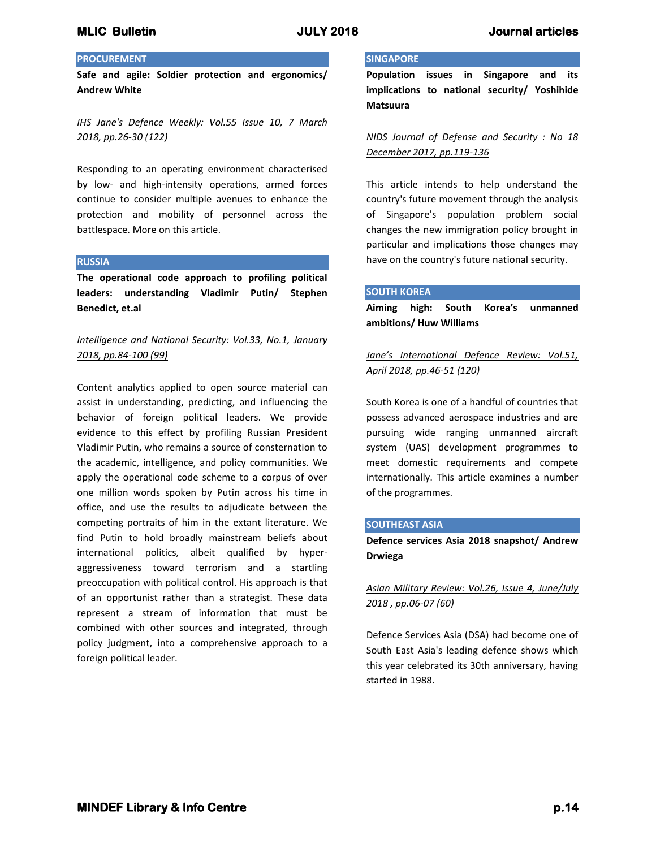## **PROCUREMENT**

**Safe and agile: Soldier protection and ergonomics/ Andrew White**

## *IHS Jane's Defence Weekly: Vol.55 Issue 10, 7 March 2018, pp.26-30 (122)*

Responding to an operating environment characterised by low- and high-intensity operations, armed forces continue to consider multiple avenues to enhance the protection and mobility of personnel across the battlespace. More on this article.

### **RUSSIA**

**The operational code approach to profiling political leaders: understanding Vladimir Putin/ Stephen Benedict, et.al**

## *Intelligence and National Security: Vol.33, No.1, January 2018, pp.84-100 (99)*

Content analytics applied to open source material can assist in understanding, predicting, and influencing the behavior of foreign political leaders. We provide evidence to this effect by profiling Russian President Vladimir Putin, who remains a source of consternation to the academic, intelligence, and policy communities. We apply the operational code scheme to a corpus of over one million words spoken by Putin across his time in office, and use the results to adjudicate between the competing portraits of him in the extant literature. We find Putin to hold broadly mainstream beliefs about international politics, albeit qualified by hyperaggressiveness toward terrorism and a startling preoccupation with political control. His approach is that of an opportunist rather than a strategist. These data represent a stream of information that must be combined with other sources and integrated, through policy judgment, into a comprehensive approach to a foreign political leader.

### **SINGAPORE**

**Population issues in Singapore and its implications to national security/ Yoshihide Matsuura**

*NIDS Journal of Defense and Security : No 18 December 2017, pp.119-136*

This article intends to help understand the country's future movement through the analysis of Singapore's population problem social changes the new immigration policy brought in particular and implications those changes may have on the country's future national security.

#### **SOUTH KOREA**

**Aiming high: South Korea's unmanned ambitions/ Huw Williams**

*Jane's International Defence Review: Vol.51, April 2018, pp.46-51 (120)*

South Korea is one of a handful of countries that possess advanced aerospace industries and are pursuing wide ranging unmanned aircraft system (UAS) development programmes to meet domestic requirements and compete internationally. This article examines a number of the programmes.

### **SOUTHEAST ASIA**

**Defence services Asia 2018 snapshot/ Andrew Drwiega**

*Asian Military Review: Vol.26, Issue 4, June/July 2018 , pp.06-07 (60)*

Defence Services Asia (DSA) had become one of South East Asia's leading defence shows which this year celebrated its 30th anniversary, having started in 1988.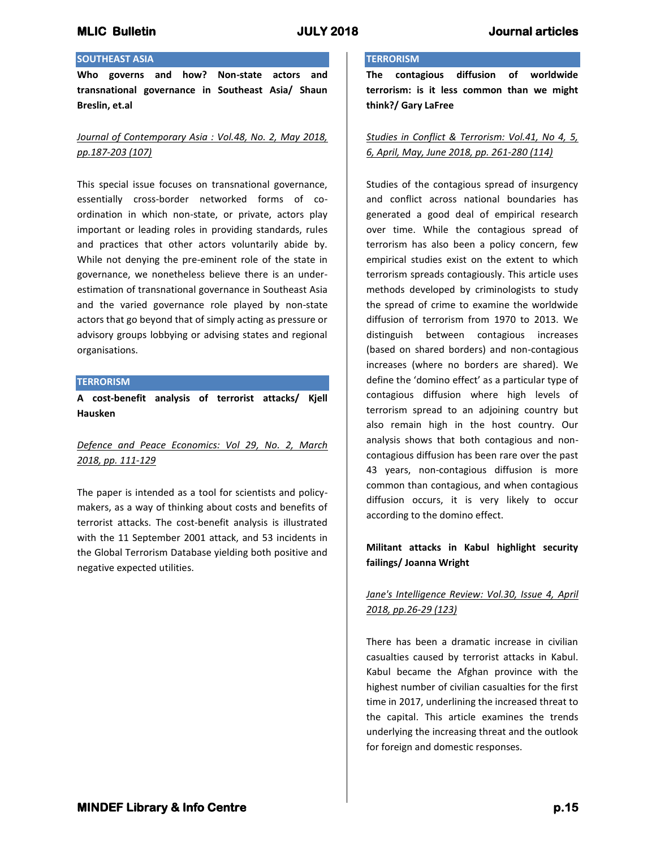## **SOUTHEAST ASIA**

**Who governs and how? Non-state actors and transnational governance in Southeast Asia/ Shaun Breslin, et.al**

## *Journal of Contemporary Asia : Vol.48, No. 2, May 2018, pp.187-203 (107)*

This special issue focuses on transnational governance, essentially cross-border networked forms of coordination in which non-state, or private, actors play important or leading roles in providing standards, rules and practices that other actors voluntarily abide by. While not denying the pre-eminent role of the state in governance, we nonetheless believe there is an underestimation of transnational governance in Southeast Asia and the varied governance role played by non-state actors that go beyond that of simply acting as pressure or advisory groups lobbying or advising states and regional organisations.

### **TERRORISM**

**A cost-benefit analysis of terrorist attacks/ Kjell Hausken**

# *Defence and Peace Economics: Vol 29, No. 2, March 2018, pp. 111-129*

The paper is intended as a tool for scientists and policymakers, as a way of thinking about costs and benefits of terrorist attacks. The cost-benefit analysis is illustrated with the 11 September 2001 attack, and 53 incidents in the Global Terrorism Database yielding both positive and negative expected utilities.

#### **TERRORISM**

**The contagious diffusion of worldwide terrorism: is it less common than we might think?/ Gary LaFree**

## *Studies in Conflict & Terrorism: Vol.41, No 4, 5, 6, April, May, June 2018, pp. 261-280 (114)*

Studies of the contagious spread of insurgency and conflict across national boundaries has generated a good deal of empirical research over time. While the contagious spread of terrorism has also been a policy concern, few empirical studies exist on the extent to which terrorism spreads contagiously. This article uses methods developed by criminologists to study the spread of crime to examine the worldwide diffusion of terrorism from 1970 to 2013. We distinguish between contagious increases (based on shared borders) and non-contagious increases (where no borders are shared). We define the 'domino effect' as a particular type of contagious diffusion where high levels of terrorism spread to an adjoining country but also remain high in the host country. Our analysis shows that both contagious and noncontagious diffusion has been rare over the past 43 years, non-contagious diffusion is more common than contagious, and when contagious diffusion occurs, it is very likely to occur according to the domino effect.

## **Militant attacks in Kabul highlight security failings/ Joanna Wright**

# *Jane's Intelligence Review: Vol.30, Issue 4, April 2018, pp.26-29 (123)*

There has been a dramatic increase in civilian casualties caused by terrorist attacks in Kabul. Kabul became the Afghan province with the highest number of civilian casualties for the first time in 2017, underlining the increased threat to the capital. This article examines the trends underlying the increasing threat and the outlook for foreign and domestic responses.